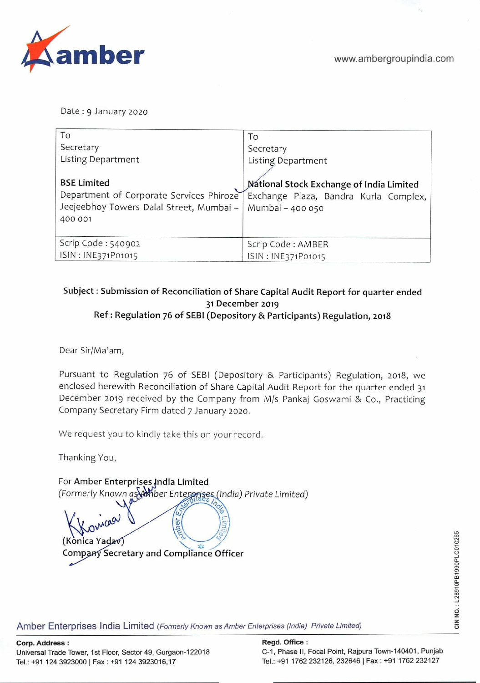

Date: 9 January 2020

| To                                       | To                                              |
|------------------------------------------|-------------------------------------------------|
| Secretary                                | Secretary                                       |
| Listing Department                       | <b>Listing Department</b>                       |
|                                          |                                                 |
| <b>BSE Limited</b>                       | <b>National Stock Exchange of India Limited</b> |
| Department of Corporate Services Phiroze | Exchange Plaza, Bandra Kurla Complex,           |
| Jeejeebhoy Towers Dalal Street, Mumbai - | Mumbai - 400 050                                |
| 400 001                                  |                                                 |
|                                          |                                                 |
| Scrip Code: 540902                       | Scrip Code: AMBER                               |
| ISIN: INE371P01015                       | ISIN: INE371P01015                              |

## **Subject: Submission of Reconciliation of Share Capital Audit Report for quarter ended 31 December** 2019 **Ref: Regulation 76 of SEBI (Depository** & **Participants) Regulation,** 2018

Dear Sir/Ma'am,

Pursuant to Regulation 76 of SEBI (Depository & Participants) Regulation, 2018, we enclosed herewith Reconciliation of Share Capital Audit Report for the quarter ended 31 December 2019 received by the Company from M/s Pankaj Goswami & Co., Practicing Company Secretary Firm dated 7 January 2020.

We request you to kindly take this on your record.

Thanking You,

For Amber Enterprises India Limited (Formerly Known as amber Enterprises (India) Private Limited) doer **(KônicaYa.v Company Secretary and Compliance Officer** 

Amber Enterprises India Limited (Formerly Known as Amber Enterprises (India) Private Limited)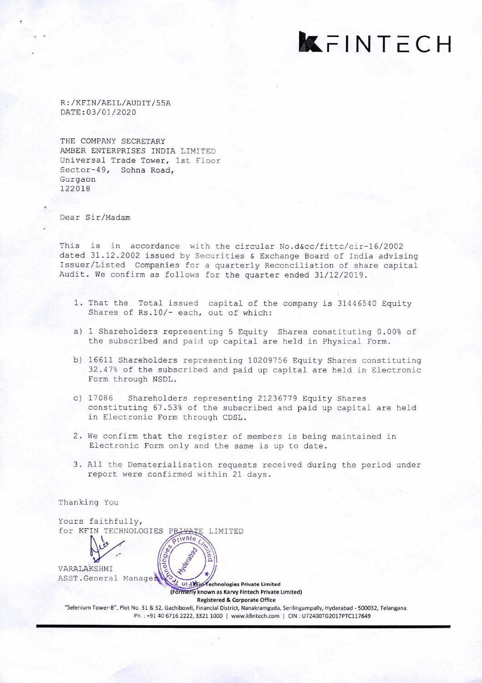kFINTECH

R: /KFIN/AEIL/AUDIT/55A DATE:03/O1/2020

THE COMPANY SECRETARY AMBER ENTERPRISES INDIA LIMITED Universal Trade Tower, 1st Floor Sector-49, Sohna Road, Gurgaon 122018

Dear Sir/Madam

Thanking You

This is in accordance with the circular No.d&cc/fittc/cir-16/2002 dated 31.12.2002 issued by Securities & Exchange Board of India advising Issuer/Listed Companies for a quarterly Reconciliation of share capital Audit. We confirm as follows for the quarter ended 31/12/2019.

- 1. That the Total issued capital of the company is 31446540 Equity Shares of Rs.10/- each, out of which:
- a) 1 Shareholders representing 5 Equity Shares constituting 0.00% of the subscribed and paid up capital are held in Physical Form.
- b) 16611 Shareholders representing 10209756 Equity Shares constituting 32.47% of the subscribed and paid up capital are held in Electronic Form through NSDL.
- c) 17086 Shareholders representing 21236779 Equity Shares constituting 67.53% of the subscribed and paid up capital are held in Electronic Form through CDSL.
- 2. We confirm that the register of members is being maintained in Electronic Form only and the same is up to date.
- 3. All the Dematerialisation requests received during the period under report were confirmed within 21 days.

Yours faithfully, for KFIN TECHNOLOGIES PRIVATE LIMITED **LIT REID Technologies Private Limited** (Formerly known as Karvy Fintech Private Limited) **Registered & Corporate Office**  "Selenium Tower-B", Plot No. 31 & 32, Gachibowli, Financial District, Nanakramguda, Serilingampally, Hyderabad -500032, Telangana. Ph.: +91 40 6716 2222, 3321 1000 | www.kfintech.com | CIN: U72400TG2017PTC117649 VARALAKSHM I ASST .General Manage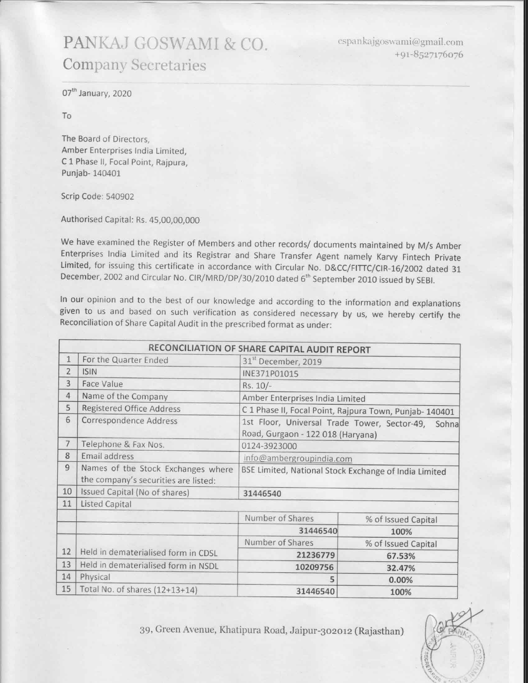## PANKAJ GOSWAMI & CO. **Company Secretaries**

cspankajgoswami@gmail.com +91-8527176076

07<sup>th</sup> January, 2020

To

The Board of Directors, Amber Enterprises India Limited, C 1 Phase II, Focal Point, Rajpura, Punjab-140401

Scrip Code: 540902

Authorised Capital: Rs. 45,00,00,000

We have examined the Register of Members and other records/ documents maintained by M/s Amber Enterprises India Limited and its Registrar and Share Transfer Agent namely Karvy Fintech Private Limited, for issuing this certificate in accordance with Circular No. D&CC/FITTC/CIR-16/2002 dated 31 December, 2002 and Circular No. CIR/MRD/DP/30/2010 dated 6<sup>th</sup> September 2010 issued by SEBI.

In our opinion and to the best of our knowledge and according to the information and explanations given to us and based on such verification as considered necessary by us, we hereby certify the Reconciliation of Share Capital Audit in the prescribed format as under:

|                |                                                                            | RECONCILIATION OF SHARE CAPITAL AUDIT REPORT                                            |                     |  |
|----------------|----------------------------------------------------------------------------|-----------------------------------------------------------------------------------------|---------------------|--|
| $\mathbf{1}$   | For the Quarter Ended                                                      | 31 <sup>st</sup> December, 2019                                                         |                     |  |
| $\overline{2}$ | <b>ISIN</b>                                                                | INE371P01015                                                                            |                     |  |
| 3              | Face Value                                                                 | Rs. 10/-                                                                                |                     |  |
| $\overline{4}$ | Name of the Company                                                        | Amber Enterprises India Limited                                                         |                     |  |
| 5              | Registered Office Address                                                  | C 1 Phase II, Focal Point, Rajpura Town, Punjab-140401                                  |                     |  |
| 6              | Correspondence Address                                                     | 1st Floor, Universal Trade Tower, Sector-49, Sohna<br>Road, Gurgaon - 122 018 (Haryana) |                     |  |
| $\overline{7}$ | Telephone & Fax Nos.                                                       | 0124-3923000                                                                            |                     |  |
| 8              | Email address                                                              | info@ambergroupindia.com                                                                |                     |  |
| 9              | Names of the Stock Exchanges where<br>the company's securities are listed: | BSE Limited, National Stock Exchange of India Limited                                   |                     |  |
| 10             | Issued Capital (No of shares)                                              | 31446540                                                                                |                     |  |
| 11             | <b>Listed Capital</b>                                                      |                                                                                         |                     |  |
|                |                                                                            | Number of Shares                                                                        | % of Issued Capital |  |
|                |                                                                            | 31446540                                                                                | 100%                |  |
|                |                                                                            | Number of Shares                                                                        | % of Issued Capital |  |
| 12             | Held in dematerialised form in CDSL                                        | 21236779                                                                                | 67.53%              |  |
| 13             | Held in dematerialised form in NSDL                                        | 10209756                                                                                | 32.47%              |  |
| 14             | Physical                                                                   | 5                                                                                       | 0.00%               |  |
| 15             | Total No. of shares (12+13+14)                                             | 31446540                                                                                | 100%                |  |

39, Green Avenue, Khatipura Road, Jaipur-302012 (Rajasthan)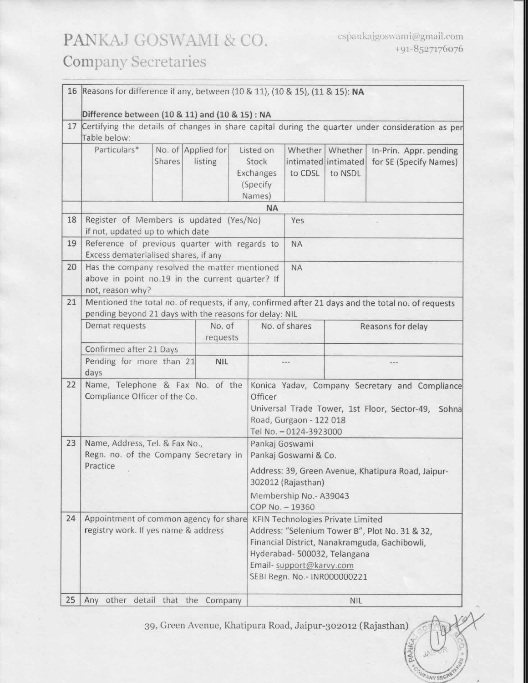## PANKAJ GOSWAMI & CO. **Company Secretaries**

**ANY SECT** 

|    | 16 Reasons for difference if any, between (10 & 11), (10 & 15), (11 & 15): NA                                                                                       |                         |                                                                          |                                                                                                                                                                      |                                                       |                                                                                                          |                                                                                                 |                                                  |  |
|----|---------------------------------------------------------------------------------------------------------------------------------------------------------------------|-------------------------|--------------------------------------------------------------------------|----------------------------------------------------------------------------------------------------------------------------------------------------------------------|-------------------------------------------------------|----------------------------------------------------------------------------------------------------------|-------------------------------------------------------------------------------------------------|--------------------------------------------------|--|
| 17 | Difference between (10 & 11) and (10 & 15) : NA<br>Certifying the details of changes in share capital during the quarter under consideration as per<br>Table below: |                         |                                                                          |                                                                                                                                                                      |                                                       |                                                                                                          |                                                                                                 |                                                  |  |
|    | Particulars*                                                                                                                                                        | Shares                  | No. of Applied for<br>listing                                            |                                                                                                                                                                      | Listed on<br>Stock<br>Exchanges<br>(Specify<br>Names) | to CDSL                                                                                                  | Whether   Whether<br>intimated intimated<br>to NSDL                                             | In-Prin. Appr. pending<br>for SE (Specify Names) |  |
|    |                                                                                                                                                                     |                         |                                                                          |                                                                                                                                                                      | <b>NA</b>                                             |                                                                                                          |                                                                                                 |                                                  |  |
| 18 | Register of Members is updated (Yes/No)<br>if not, updated up to which date                                                                                         |                         |                                                                          | Yes                                                                                                                                                                  |                                                       |                                                                                                          |                                                                                                 |                                                  |  |
| 19 | Reference of previous quarter with regards to<br>Excess dematerialised shares, if any                                                                               |                         |                                                                          |                                                                                                                                                                      |                                                       | <b>NA</b>                                                                                                |                                                                                                 |                                                  |  |
| 20 | Has the company resolved the matter mentioned<br>above in point no.19 in the current quarter? If<br>not, reason why?                                                |                         |                                                                          |                                                                                                                                                                      | <b>NA</b>                                             |                                                                                                          |                                                                                                 |                                                  |  |
| 21 | Mentioned the total no. of requests, if any, confirmed after 21 days and the total no. of requests<br>pending beyond 21 days with the reasons for delay: NIL        |                         |                                                                          |                                                                                                                                                                      |                                                       |                                                                                                          |                                                                                                 |                                                  |  |
|    | Demat requests                                                                                                                                                      |                         | No. of<br>requests                                                       |                                                                                                                                                                      | No. of shares                                         |                                                                                                          | Reasons for delay                                                                               |                                                  |  |
|    |                                                                                                                                                                     | Confirmed after 21 Days |                                                                          |                                                                                                                                                                      |                                                       |                                                                                                          |                                                                                                 |                                                  |  |
|    | Pending for more than 21<br>days                                                                                                                                    |                         | <b>NIL</b>                                                               |                                                                                                                                                                      |                                                       |                                                                                                          |                                                                                                 |                                                  |  |
| 22 | Name, Telephone & Fax No. of the<br>Compliance Officer of the Co.                                                                                                   |                         |                                                                          | Konica Yadav, Company Secretary and Compliance<br>Officer<br>Universal Trade Tower, 1st Floor, Sector-49, Sohna<br>Road, Gurgaon - 122 018<br>Tel No. - 0124-3923000 |                                                       |                                                                                                          |                                                                                                 |                                                  |  |
| 23 | Name, Address, Tel. & Fax No.,<br>Regn. no. of the Company Secretary in                                                                                             |                         |                                                                          | Pankaj Goswami                                                                                                                                                       | Pankaj Goswami & Co.                                  |                                                                                                          |                                                                                                 |                                                  |  |
|    | Practice                                                                                                                                                            |                         | Address: 39, Green Avenue, Khatipura Road, Jaipur-<br>302012 (Rajasthan) |                                                                                                                                                                      |                                                       |                                                                                                          |                                                                                                 |                                                  |  |
|    |                                                                                                                                                                     |                         |                                                                          | Membership No.- A39043<br>COP No. - 19360                                                                                                                            |                                                       |                                                                                                          |                                                                                                 |                                                  |  |
| 24 | Appointment of common agency for share<br>registry work. If yes name & address                                                                                      |                         |                                                                          |                                                                                                                                                                      | Email- support@karvy.com                              | <b>KFIN Technologies Private Limited</b><br>Hyderabad- 500032, Telangana<br>SEBI Regn. No.- INR000000221 | Address: "Selenium Tower B", Plot No. 31 & 32,<br>Financial District, Nanakramguda, Gachibowli, |                                                  |  |
| 25 | Any other detail that the Company                                                                                                                                   |                         |                                                                          | <b>NIL</b>                                                                                                                                                           |                                                       |                                                                                                          |                                                                                                 |                                                  |  |

39, Green Avenue, Khatipura Road, Jaipur-302012 (Rajasthan)